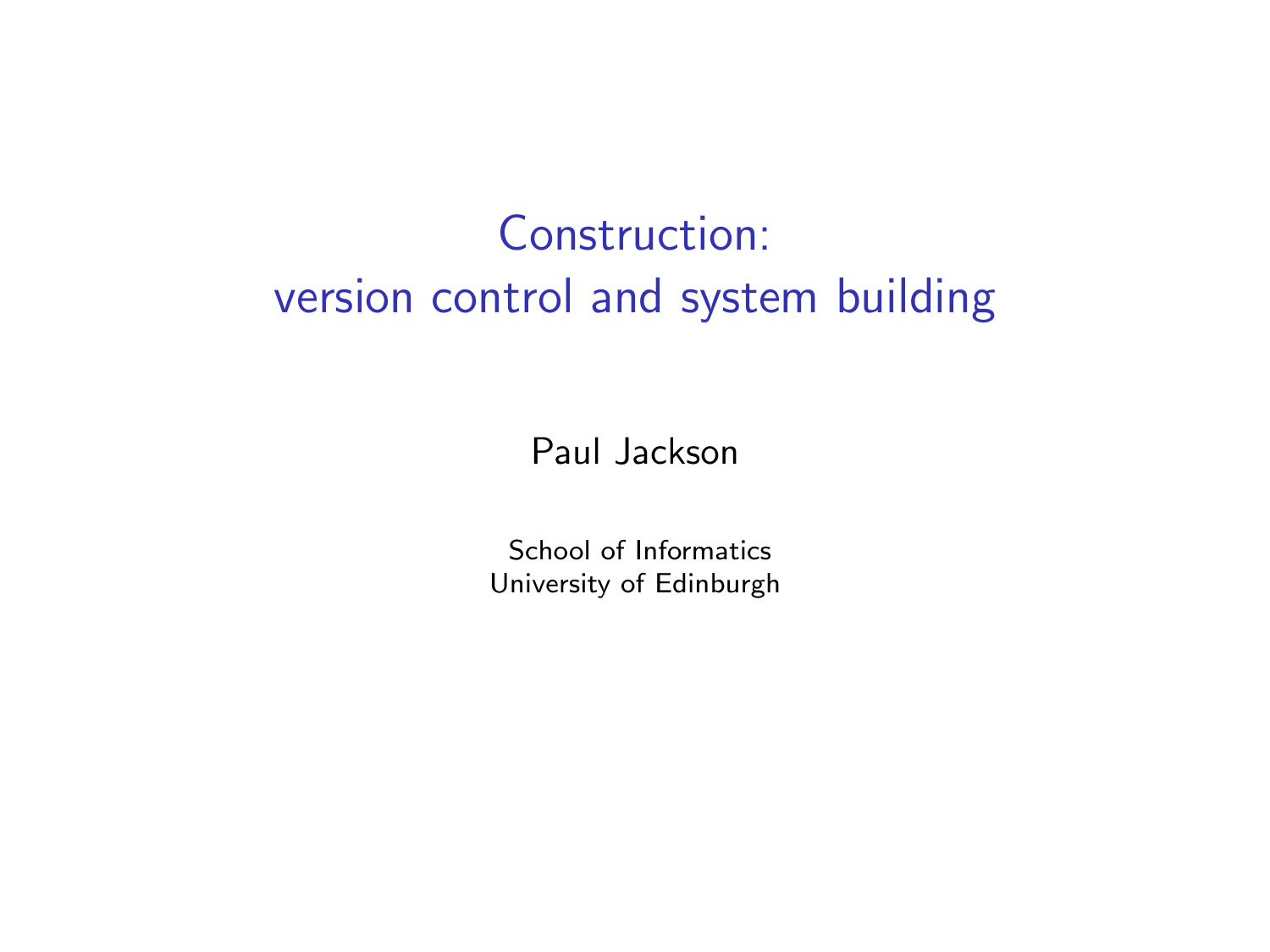# Construction: version control and system building

Paul Jackson

School of Informatics University of Edinburgh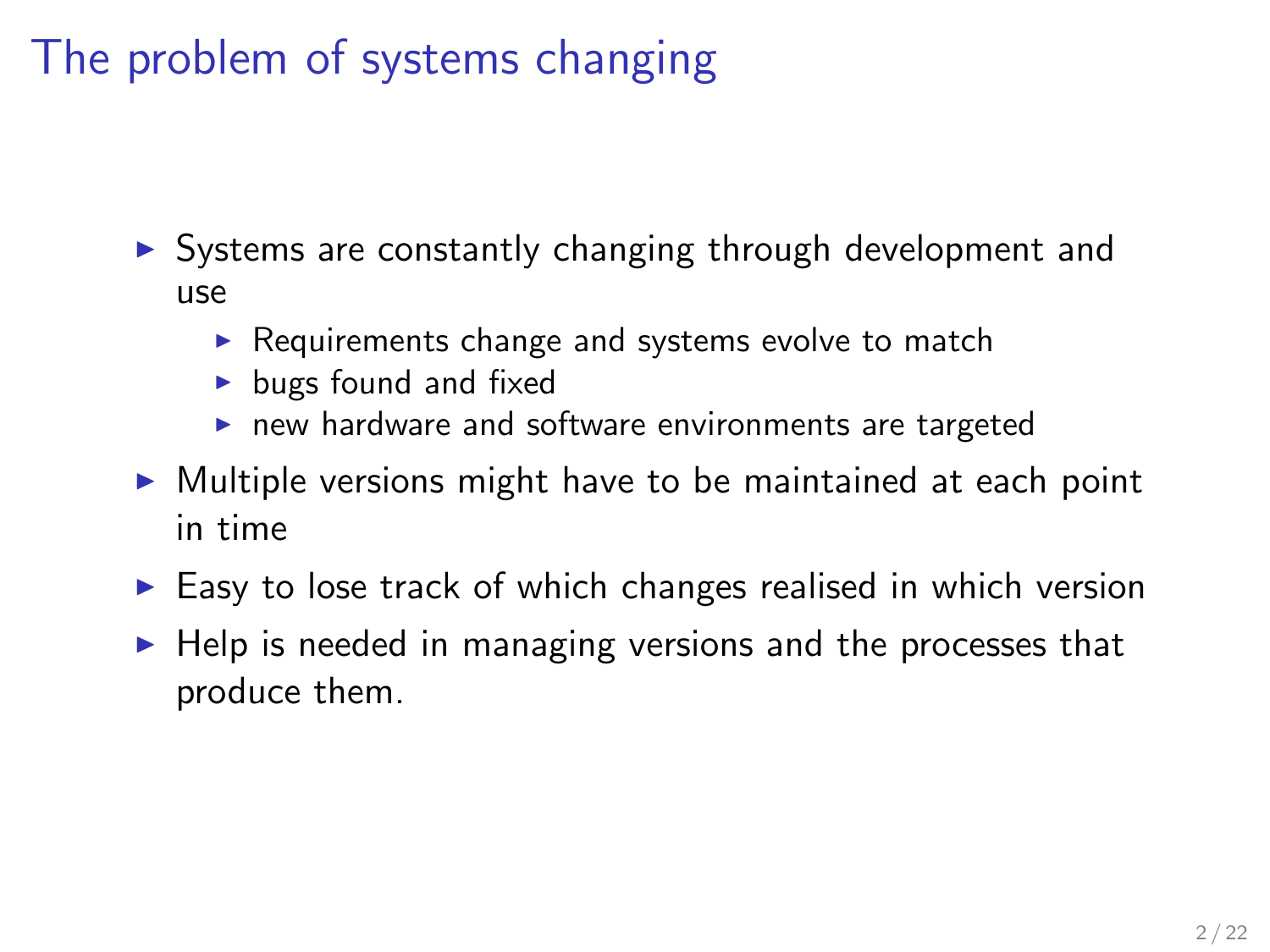# The problem of systems changing

- $\triangleright$  Systems are constantly changing through development and use
	- $\triangleright$  Requirements change and systems evolve to match
	- $\blacktriangleright$  bugs found and fixed
	- $\blacktriangleright$  new hardware and software environments are targeted
- $\triangleright$  Multiple versions might have to be maintained at each point in time
- $\triangleright$  Easy to lose track of which changes realised in which version
- $\blacktriangleright$  Help is needed in managing versions and the processes that produce them.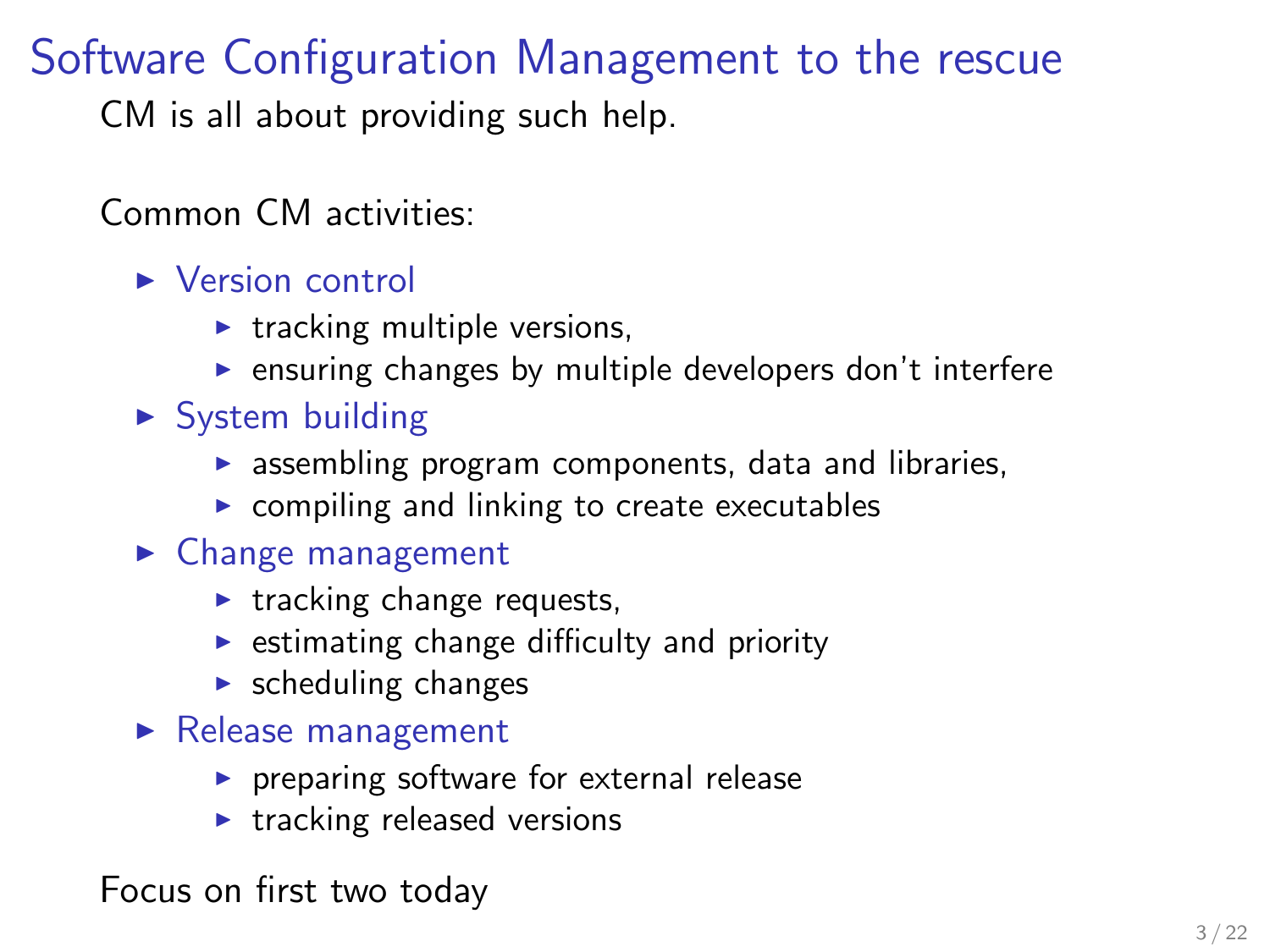# Software Configuration Management to the rescue

CM is all about providing such help.

Common CM activities:

 $\blacktriangleright$  Version control

- $\blacktriangleright$  tracking multiple versions,
- $\blacktriangleright$  ensuring changes by multiple developers don't interfere
- $\triangleright$  System building
	- $\triangleright$  assembling program components, data and libraries,
	- $\triangleright$  compiling and linking to create executables
- $\blacktriangleright$  Change management
	- $\blacktriangleright$  tracking change requests,
	- $\triangleright$  estimating change difficulty and priority
	- $\blacktriangleright$  scheduling changes
- $\blacktriangleright$  Release management
	- $\triangleright$  preparing software for external release
	- $\blacktriangleright$  tracking released versions

Focus on first two today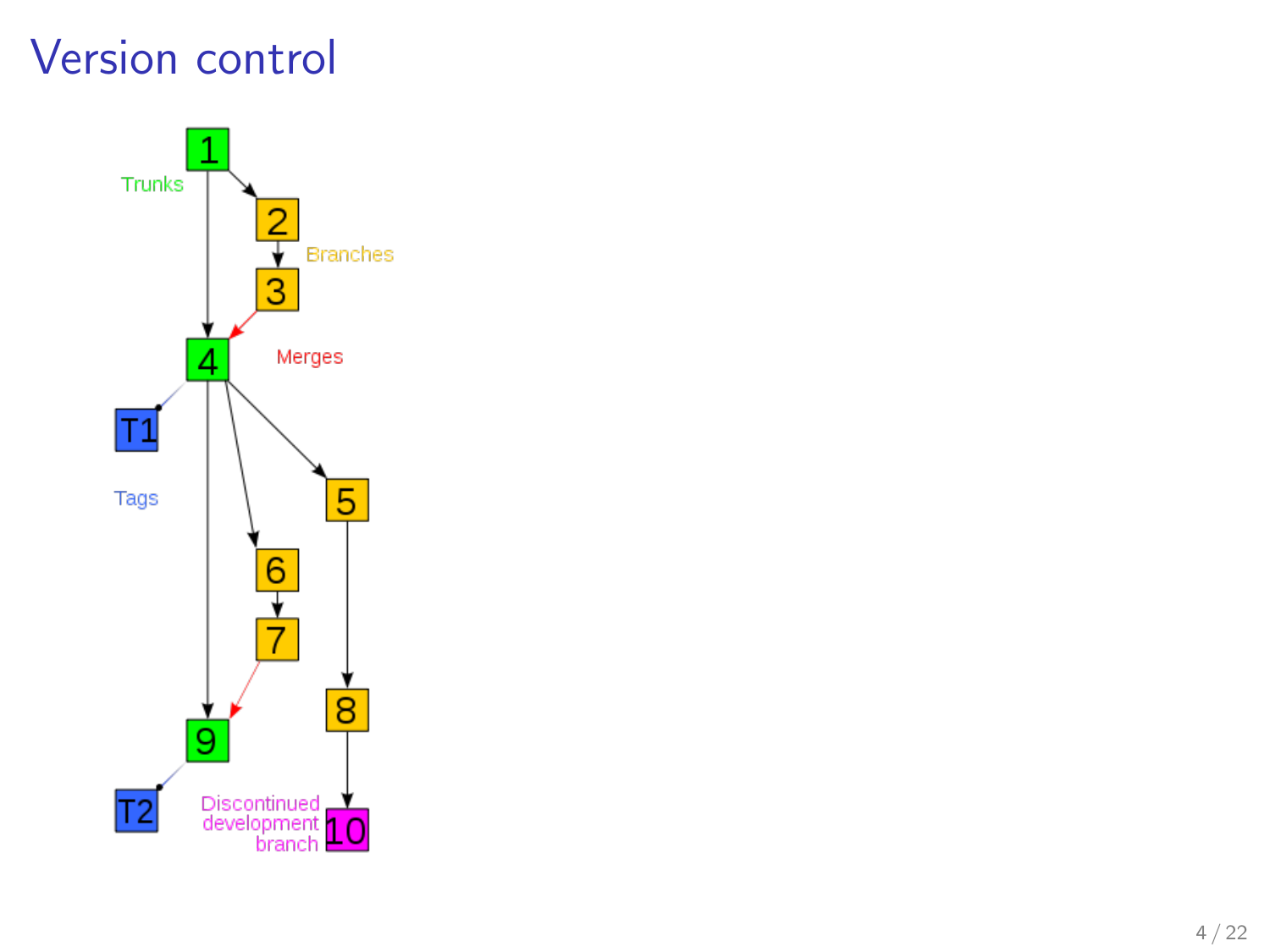## Version control

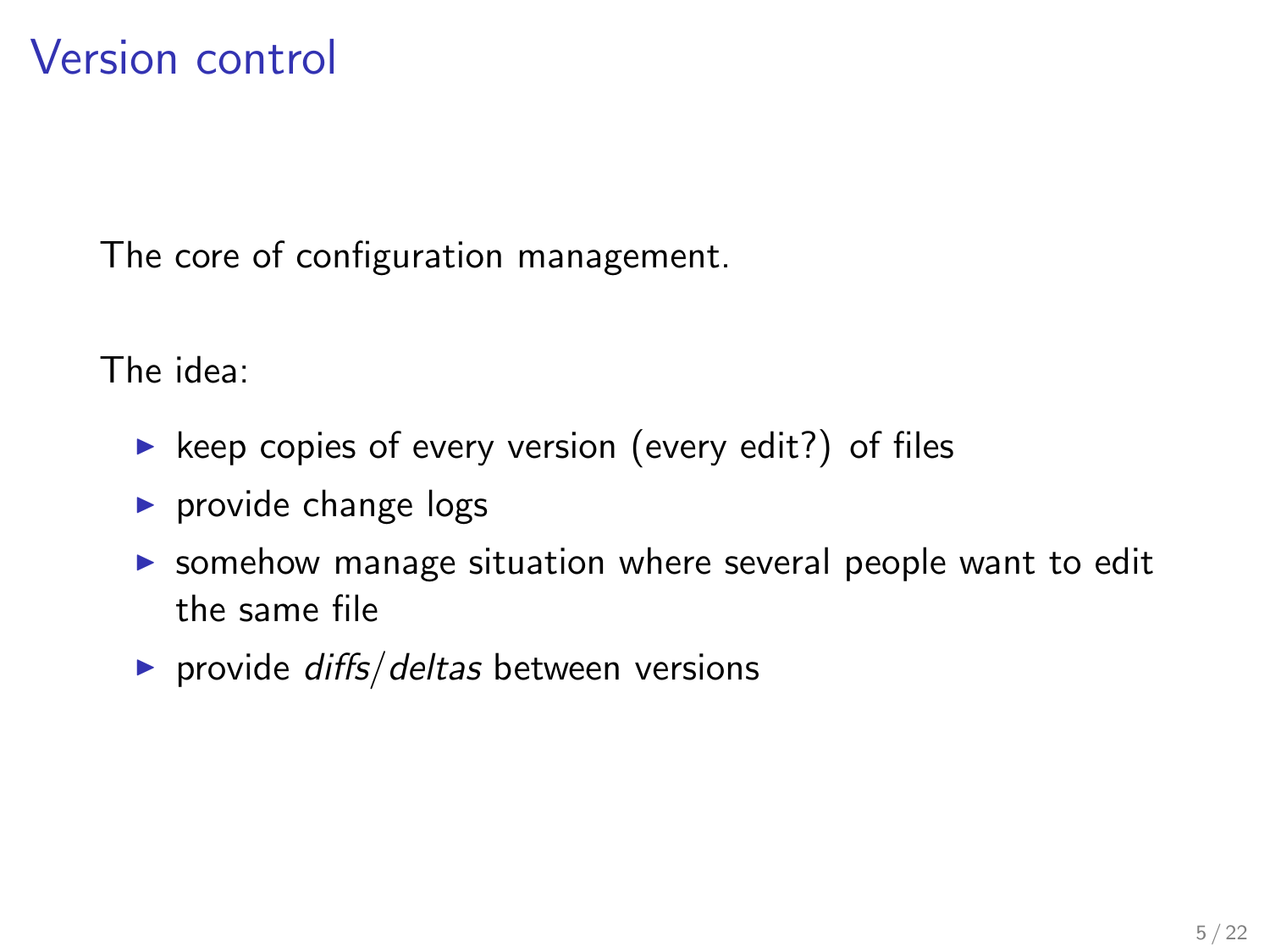The core of configuration management.

The idea:

- $\triangleright$  keep copies of every version (every edit?) of files
- $\triangleright$  provide change logs
- $\triangleright$  somehow manage situation where several people want to edit the same file
- provide  $diffs/deltas$  between versions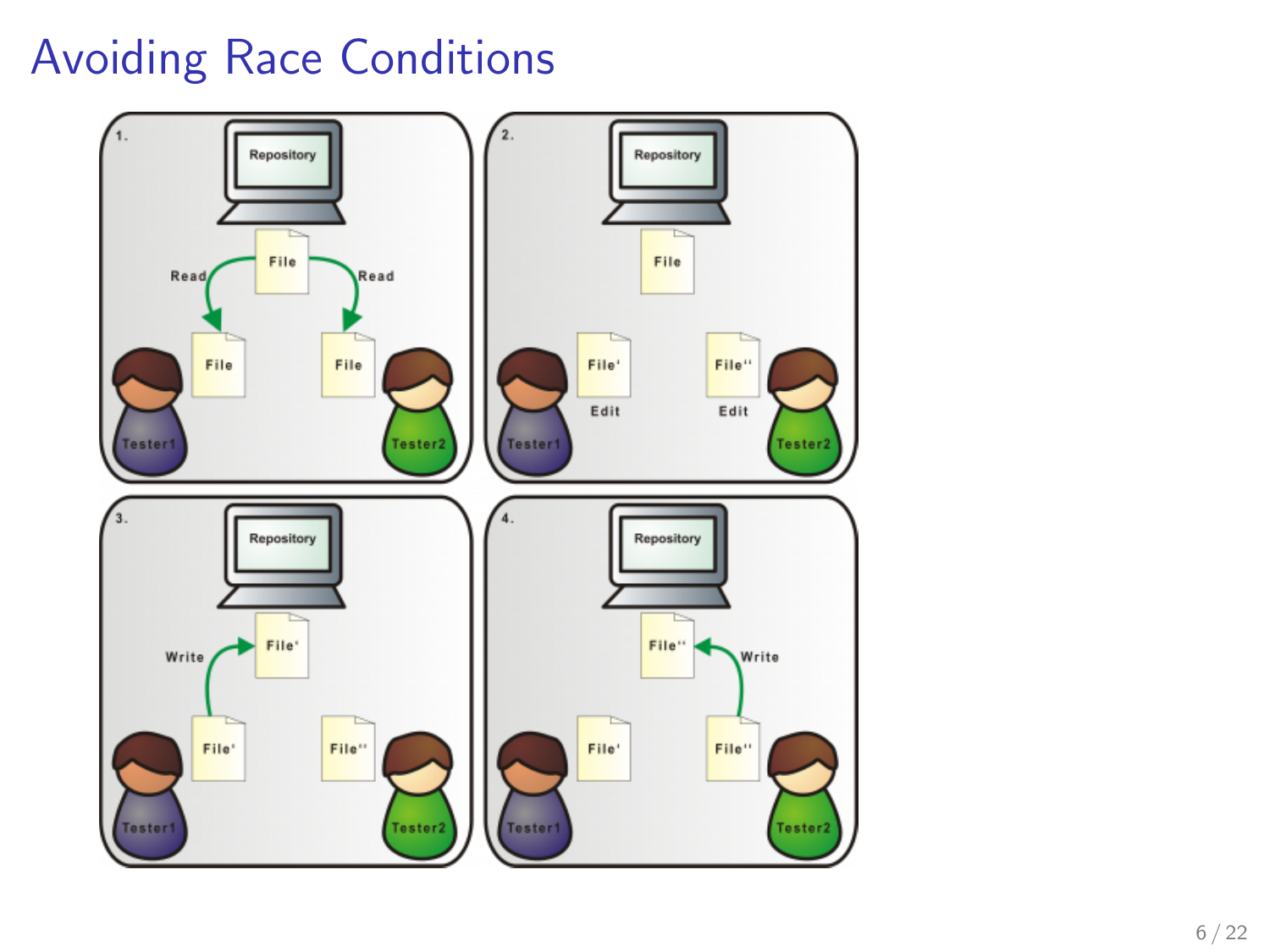# Avoiding Race Conditions

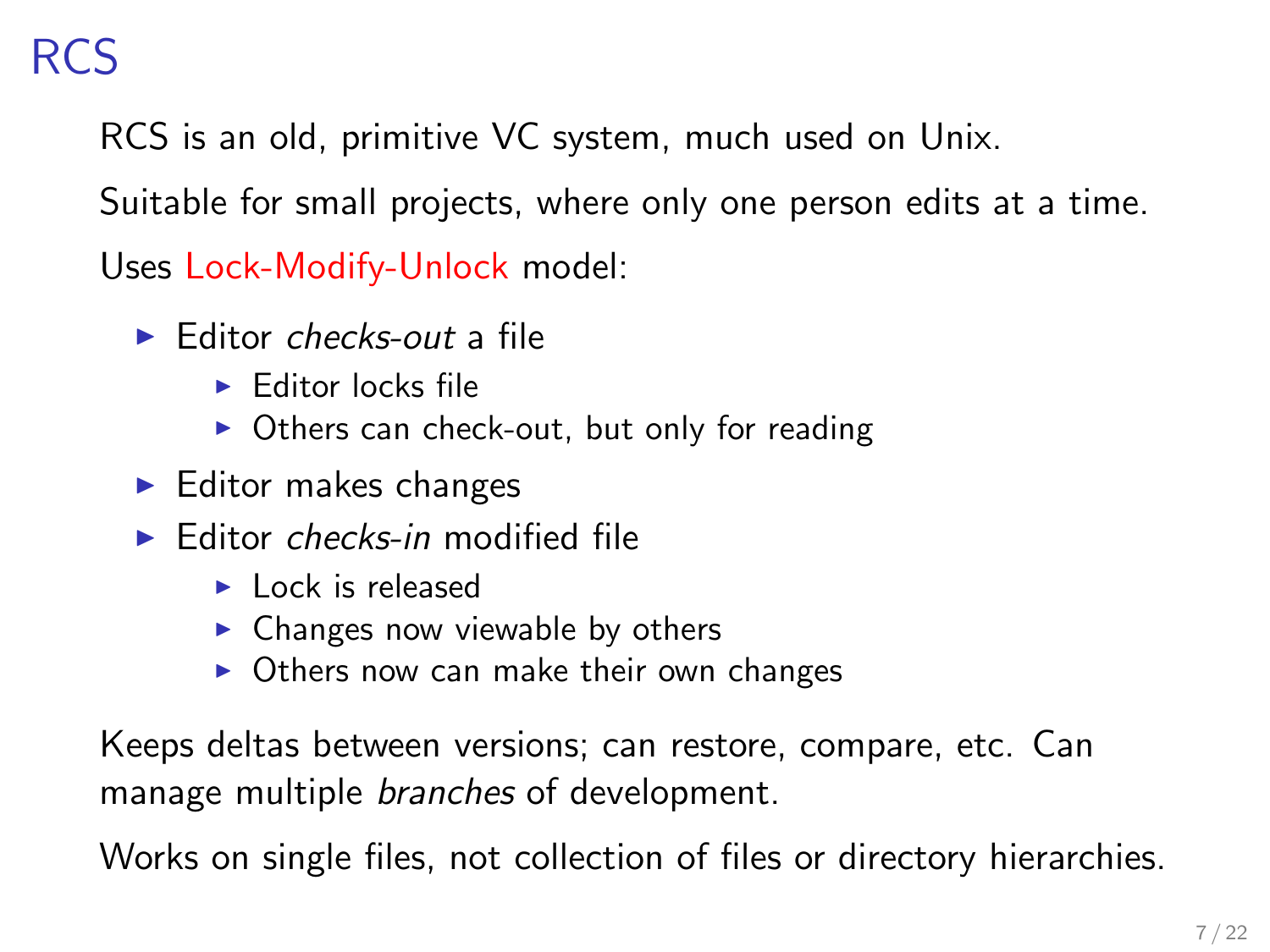RCS is an old, primitive VC system, much used on Unix.

Suitable for small projects, where only one person edits at a time.

Uses Lock-Modify-Unlock model:

- $\blacktriangleright$  Editor checks-out a file
	- $\blacktriangleright$  Editor locks file
	- $\triangleright$  Others can check-out, but only for reading
- $\blacktriangleright$  Editor makes changes
- $\blacktriangleright$  Editor checks-in modified file
	- $\blacktriangleright$  Lock is released
	- $\triangleright$  Changes now viewable by others
	- $\triangleright$  Others now can make their own changes

Keeps deltas between versions; can restore, compare, etc. Can manage multiple branches of development.

Works on single files, not collection of files or directory hierarchies.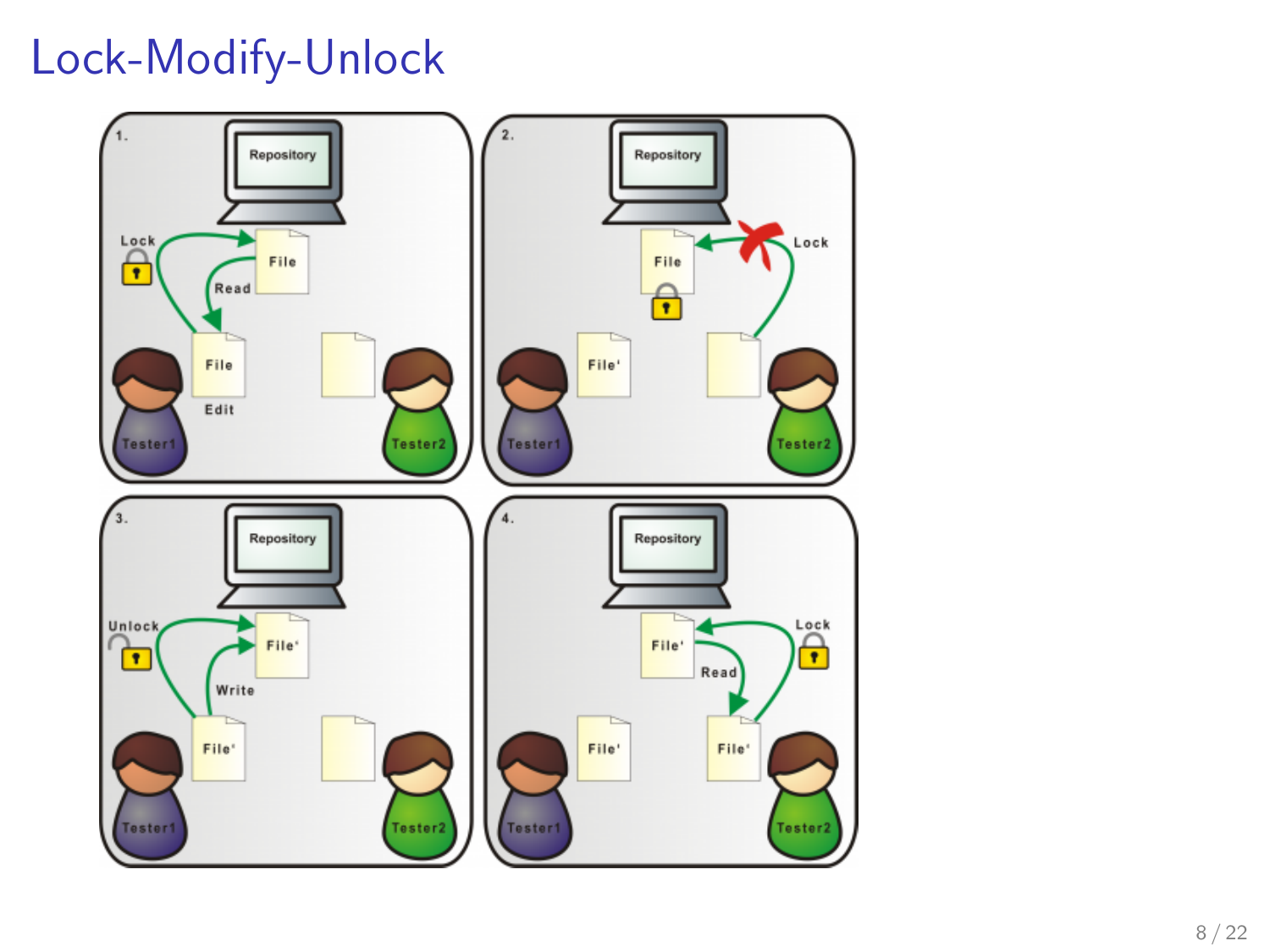## Lock-Modify-Unlock

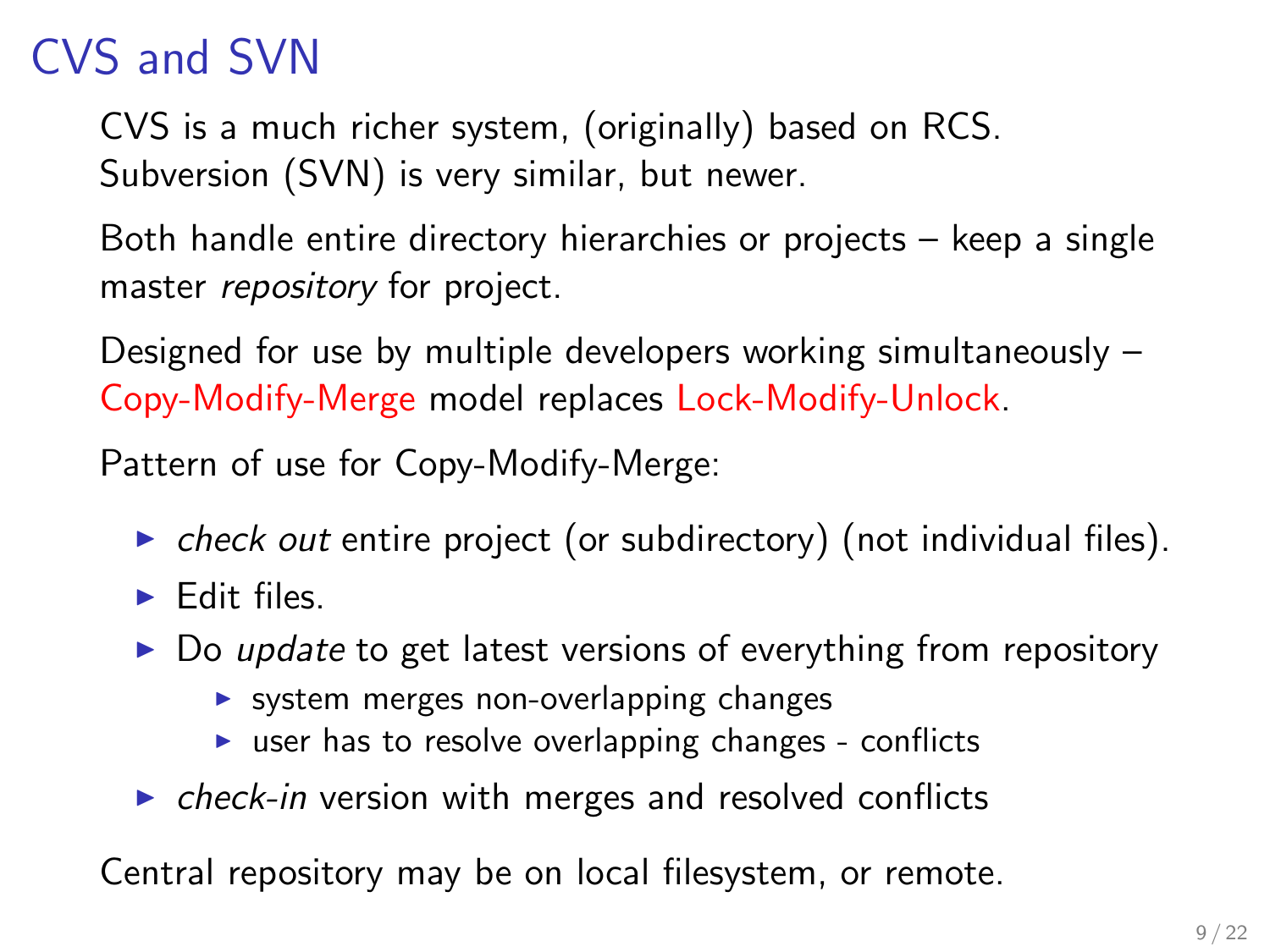# CVS and SVN

CVS is a much richer system, (originally) based on RCS. Subversion (SVN) is very similar, but newer.

Both handle entire directory hierarchies or projects – keep a single master *repository* for project.

Designed for use by multiple developers working simultaneously – Copy-Modify-Merge model replaces Lock-Modify-Unlock.

Pattern of use for Copy-Modify-Merge:

- $\triangleright$  check out entire project (or subdirectory) (not individual files).
- $\blacktriangleright$  Edit files.
- $\triangleright$  Do update to get latest versions of everything from repository
	- $\triangleright$  system merges non-overlapping changes
	- $\triangleright$  user has to resolve overlapping changes conflicts
- $\triangleright$  check-in version with merges and resolved conflicts

Central repository may be on local filesystem, or remote.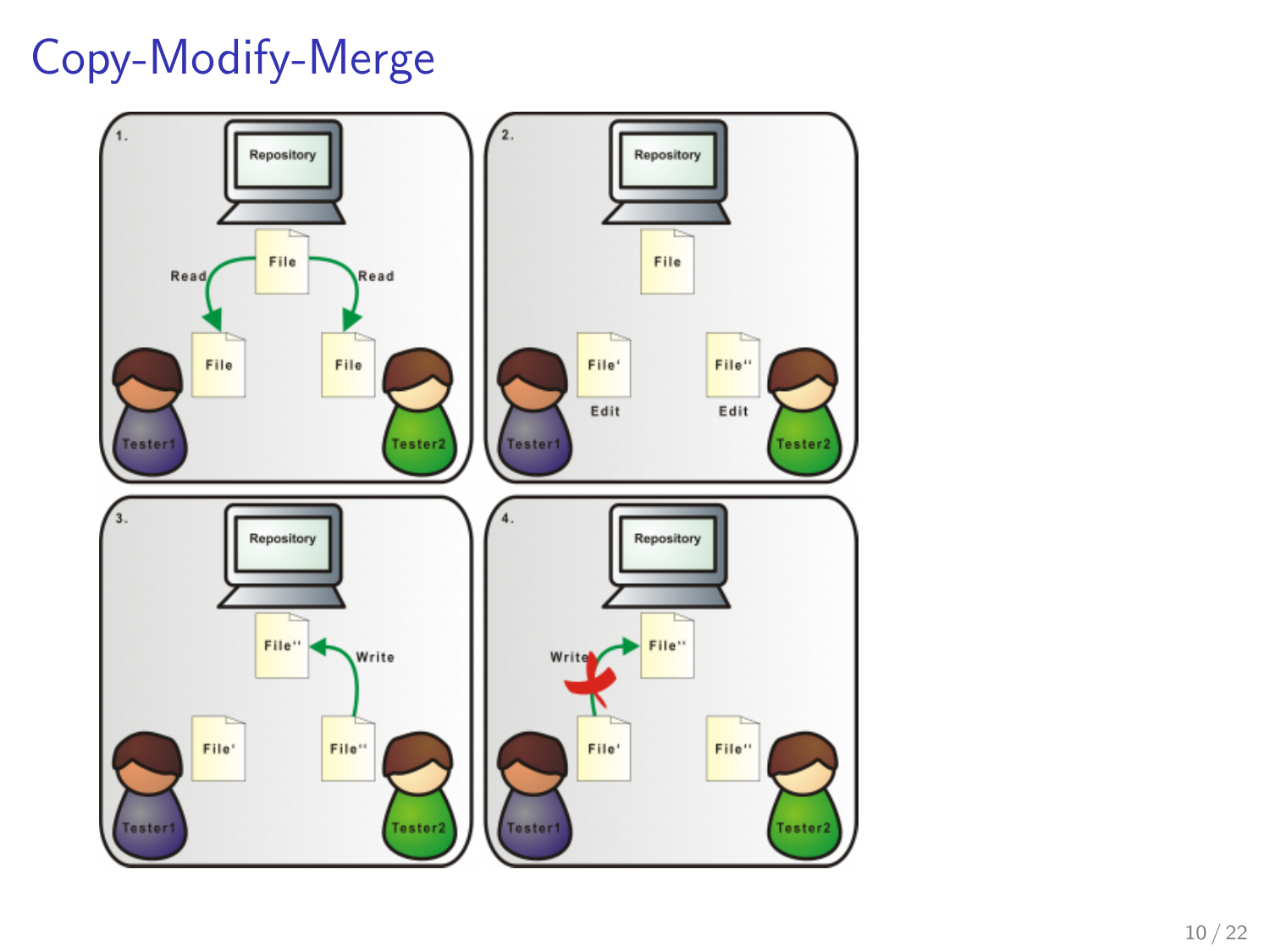# Copy-Modify-Merge

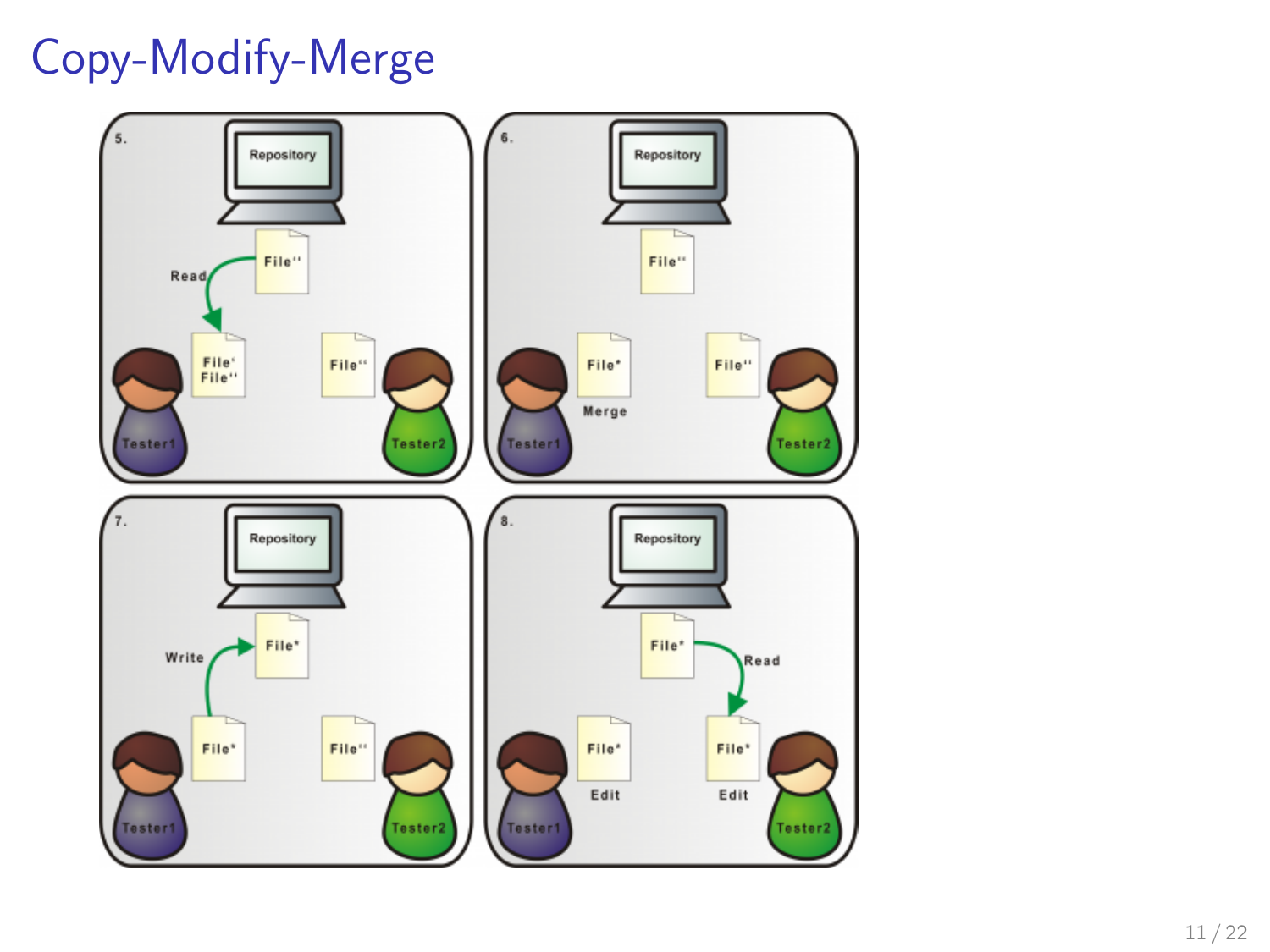# Copy-Modify-Merge

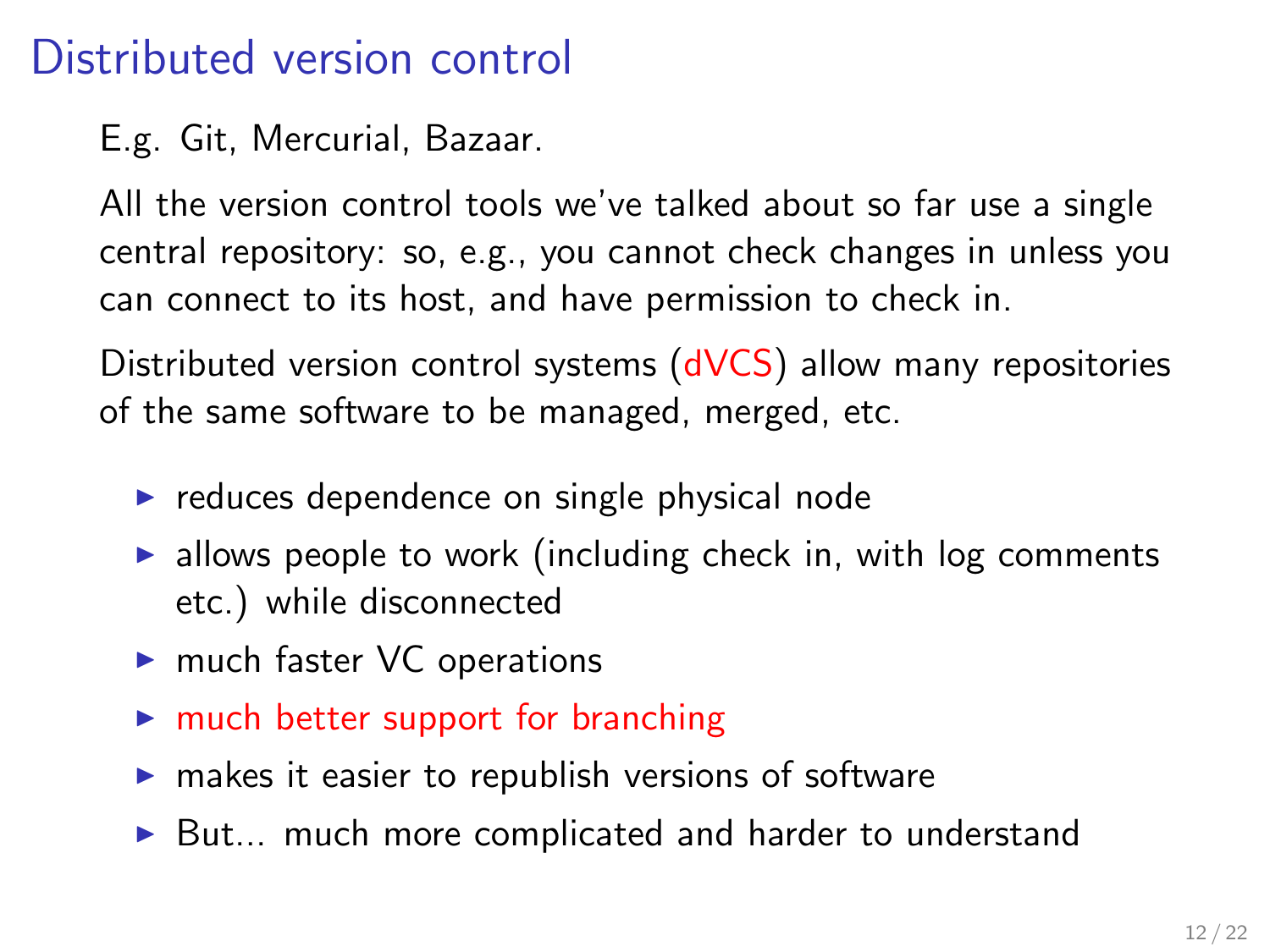### Distributed version control

E.g. Git, Mercurial, Bazaar.

All the version control tools we've talked about so far use a single central repository: so, e.g., you cannot check changes in unless you can connect to its host, and have permission to check in.

Distributed version control systems (dVCS) allow many repositories of the same software to be managed, merged, etc.

- $\triangleright$  reduces dependence on single physical node
- $\triangleright$  allows people to work (including check in, with log comments etc.) while disconnected
- $\blacktriangleright$  much faster VC operations
- $\blacktriangleright$  much better support for branching
- $\triangleright$  makes it easier to republish versions of software
- $\triangleright$  But... much more complicated and harder to understand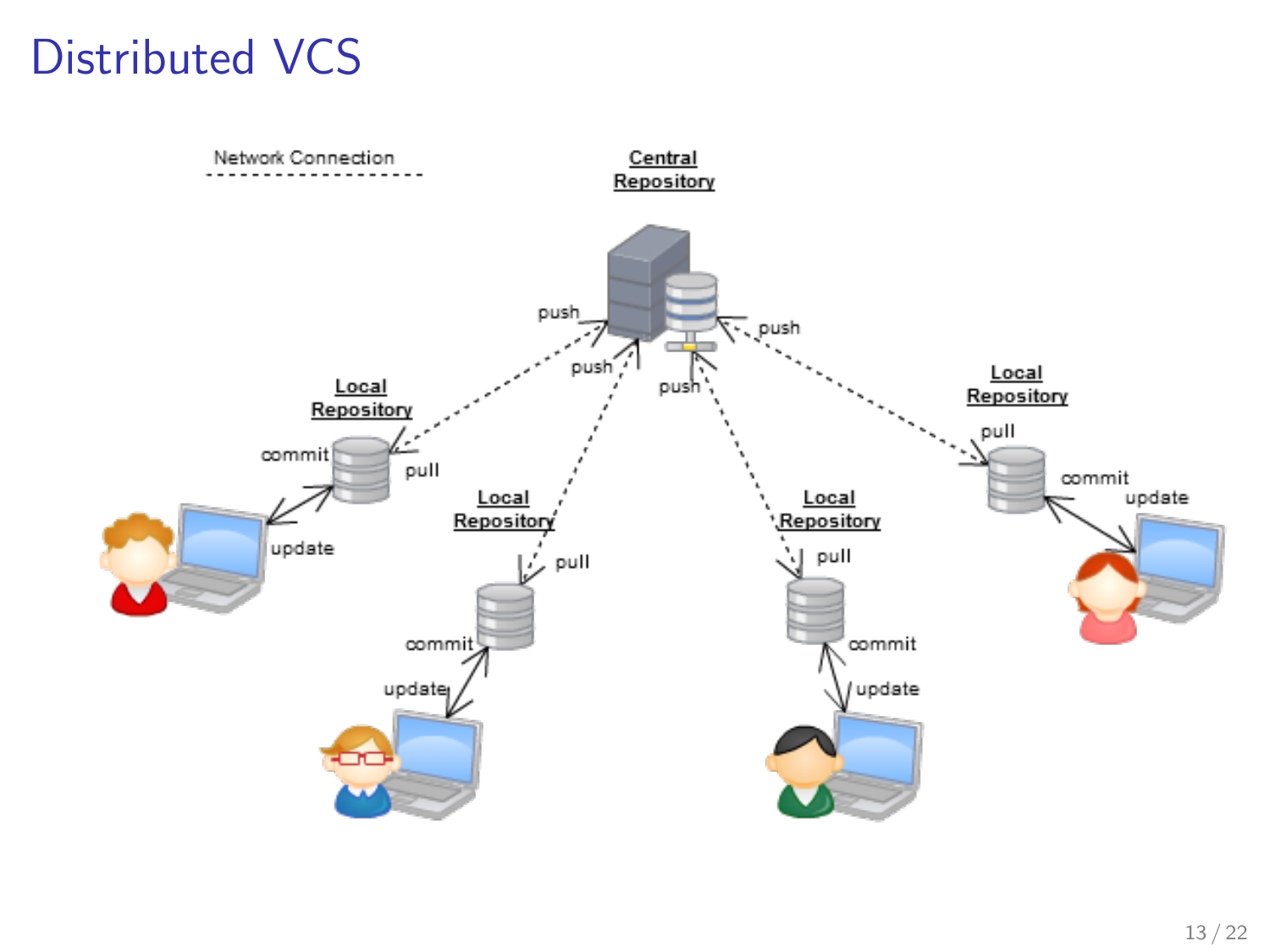### Distributed VCS

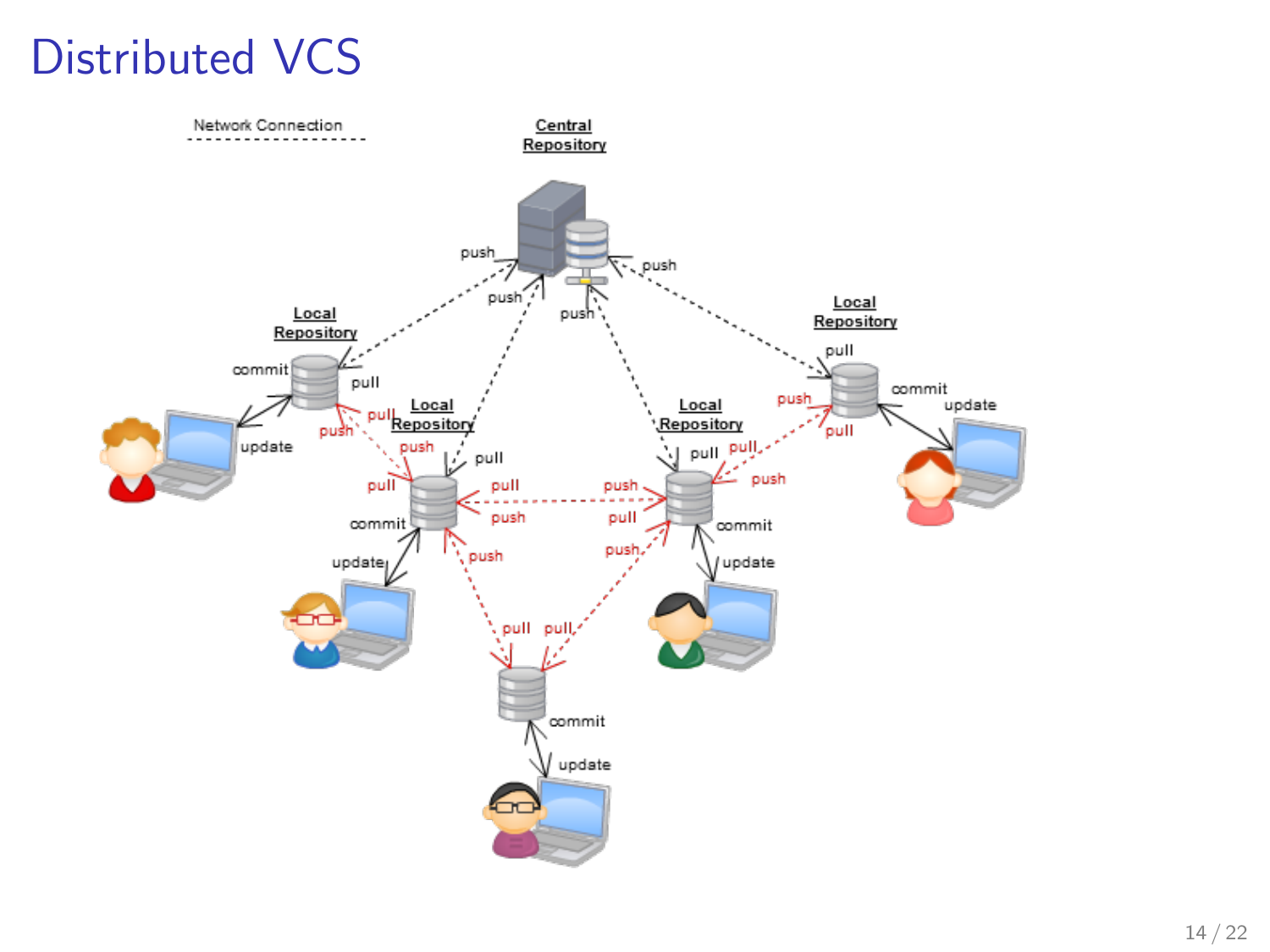# Distributed VCS

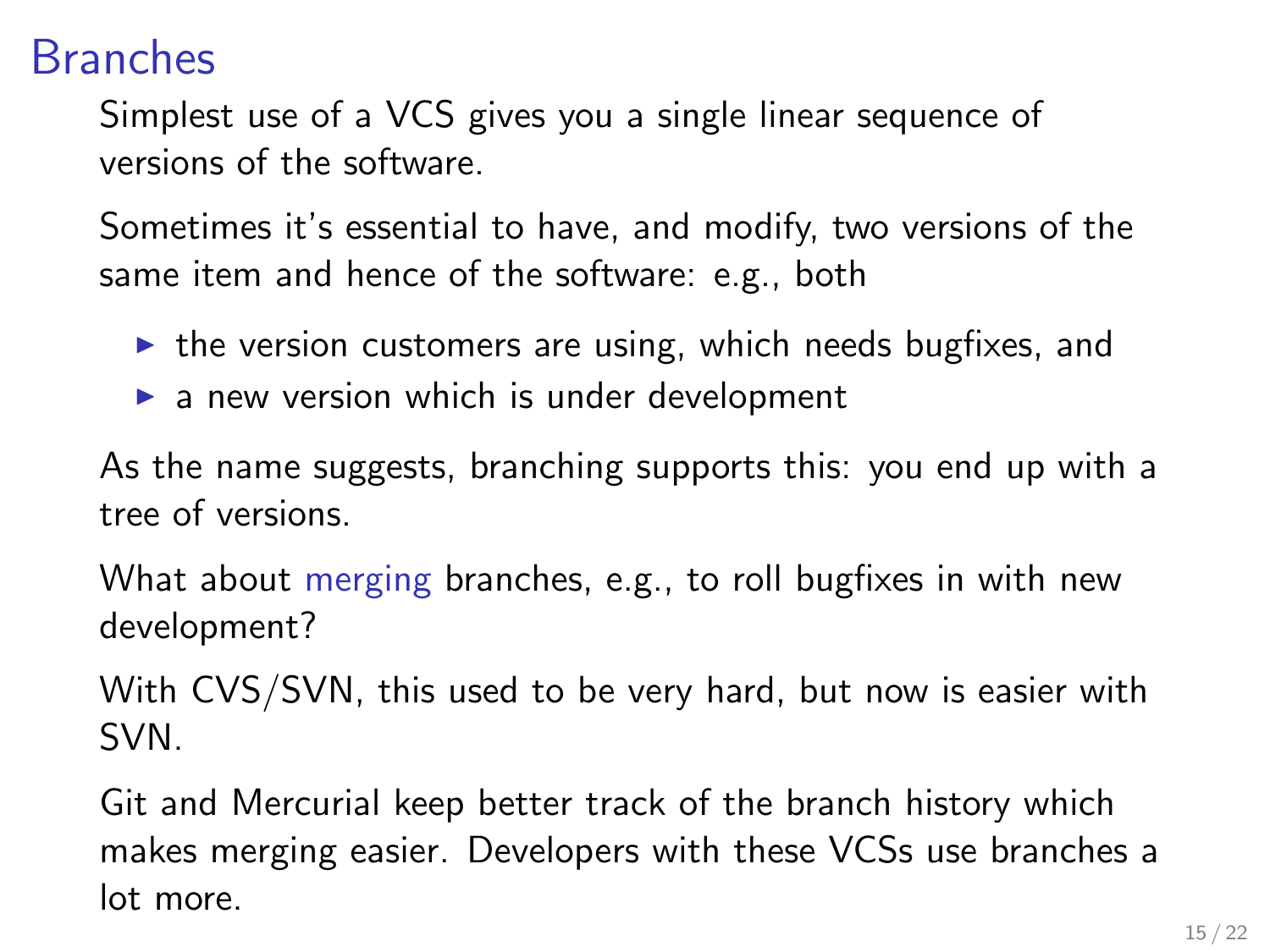#### Branches

Simplest use of a VCS gives you a single linear sequence of versions of the software.

Sometimes it's essential to have, and modify, two versions of the same item and hence of the software: e.g., both

- $\triangleright$  the version customers are using, which needs bugfixes, and
- $\triangleright$  a new version which is under development

As the name suggests, branching supports this: you end up with a tree of versions.

What about merging branches, e.g., to roll bugfixes in with new development?

With CVS/SVN, this used to be very hard, but now is easier with SVN.

Git and Mercurial keep better track of the branch history which makes merging easier. Developers with these VCSs use branches a lot more.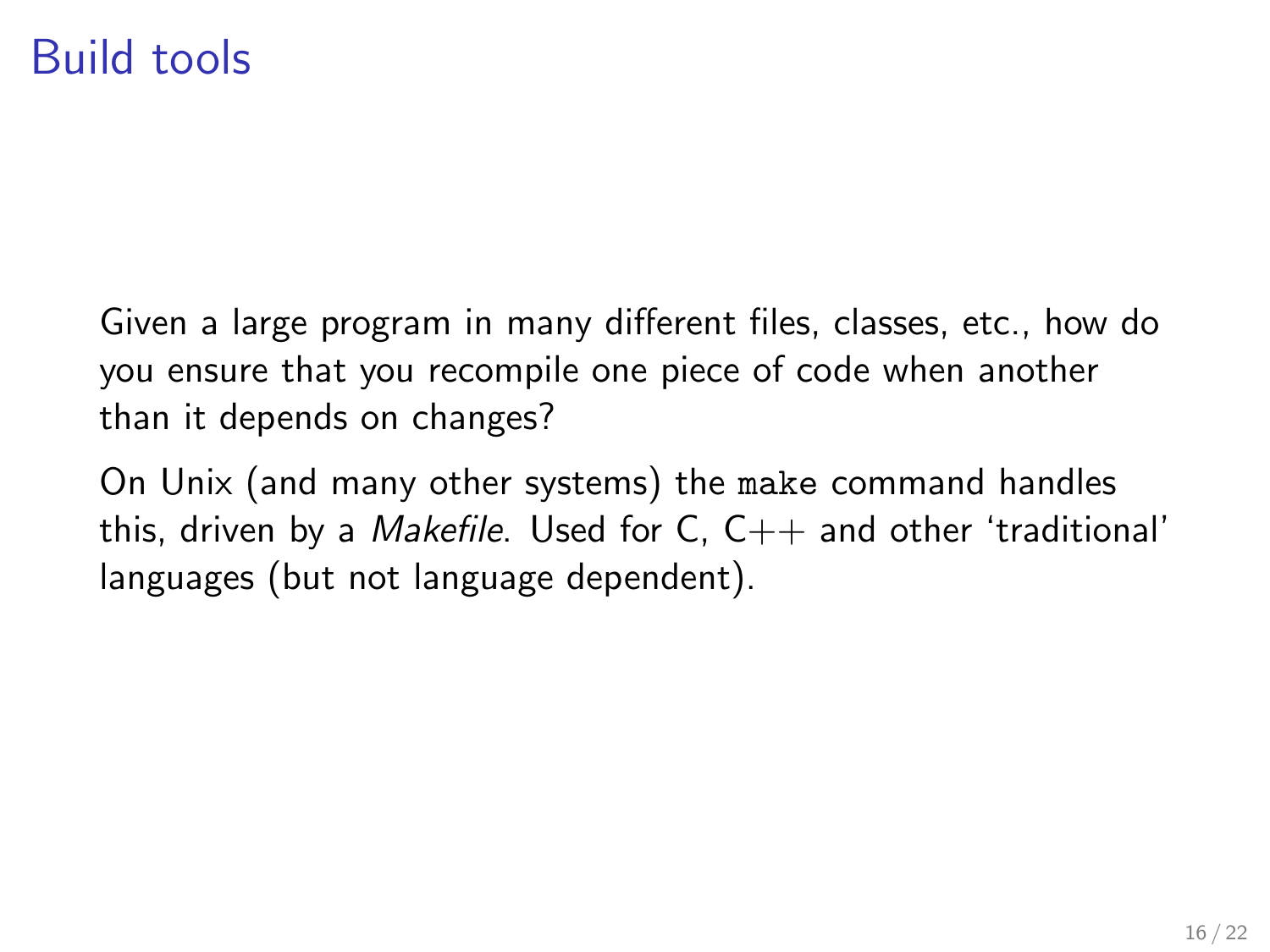#### Build tools

Given a large program in many different files, classes, etc., how do you ensure that you recompile one piece of code when another than it depends on changes?

On Unix (and many other systems) the make command handles this, driven by a *Makefile*. Used for C,  $C_{++}$  and other 'traditional' languages (but not language dependent).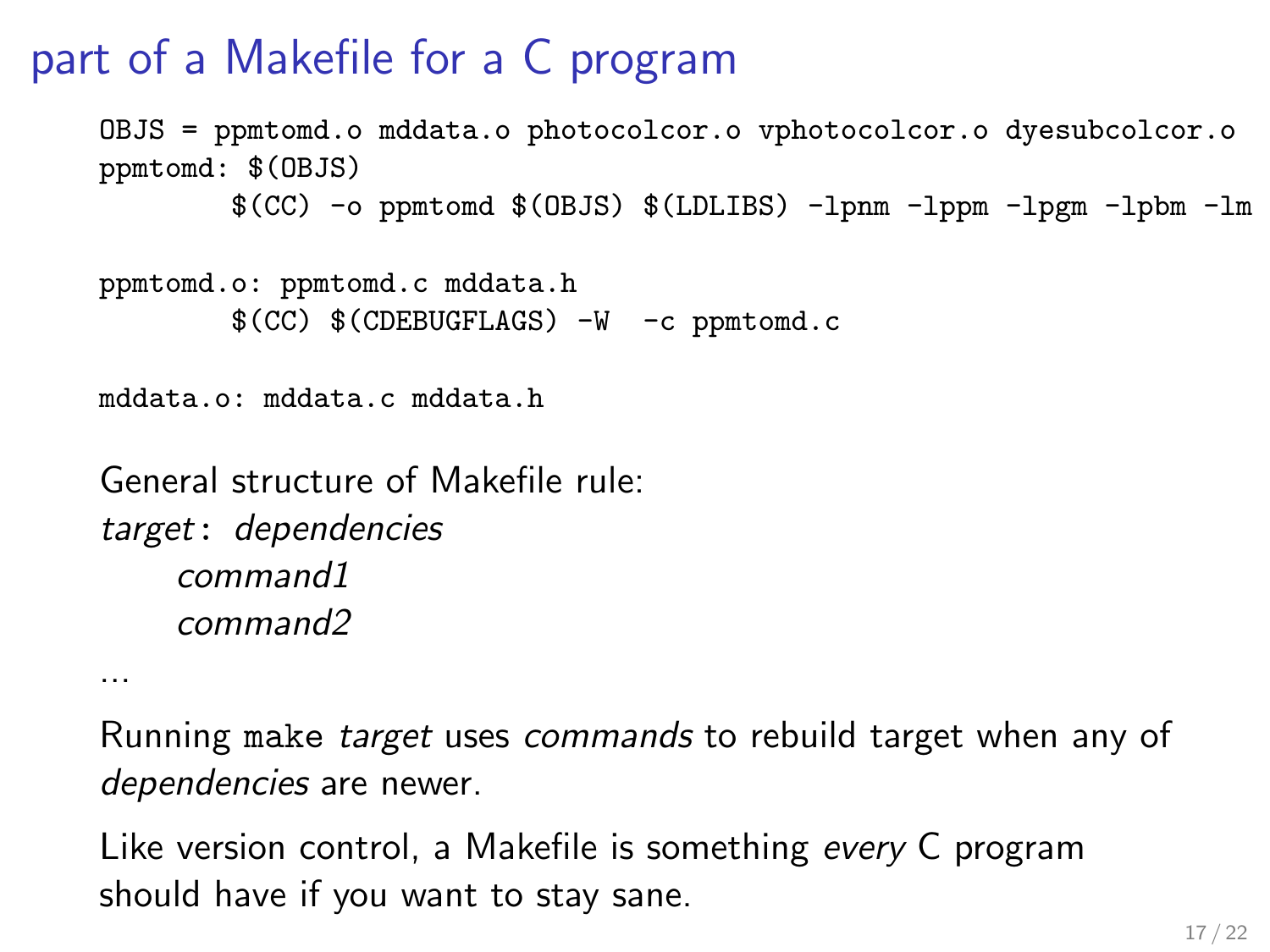# part of a Makefile for a C program

```
OBJS = ppmtomd.o mddata.o photocolcor.o vphotocolcor.o dyesubcolcor.o
ppmtomd: $(OBJS)
        $(CC) -o ppmtomd $(OBJS) $(LDLIBS) -lpnm -lppm -lpgm -lpbm -lm
```

```
ppmtomd.o: ppmtomd.c mddata.h
       $(CC) $(CDEBUGFLAGS) -W -c ppmtomd.c
```

```
mddata.o: mddata.c mddata.h
```

```
General structure of Makefile rule:
target: dependencies
    command1
    command2
```
...

Running make target uses commands to rebuild target when any of dependencies are newer.

Like version control, a Makefile is something every C program should have if you want to stay sane.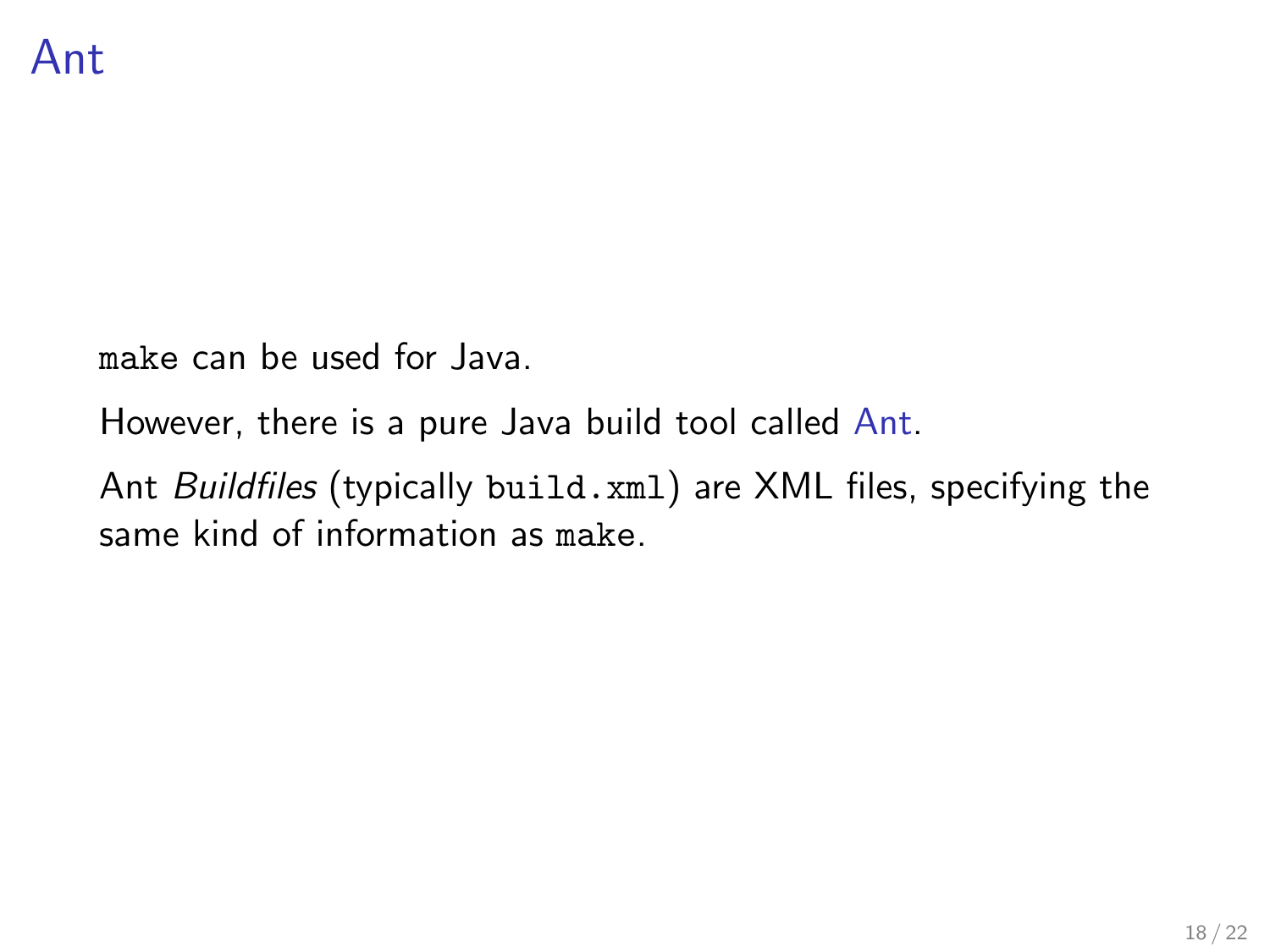make can be used for Java.

However, there is a pure Java build tool called Ant.

Ant Buildfiles (typically build.xml) are XML files, specifying the same kind of information as make.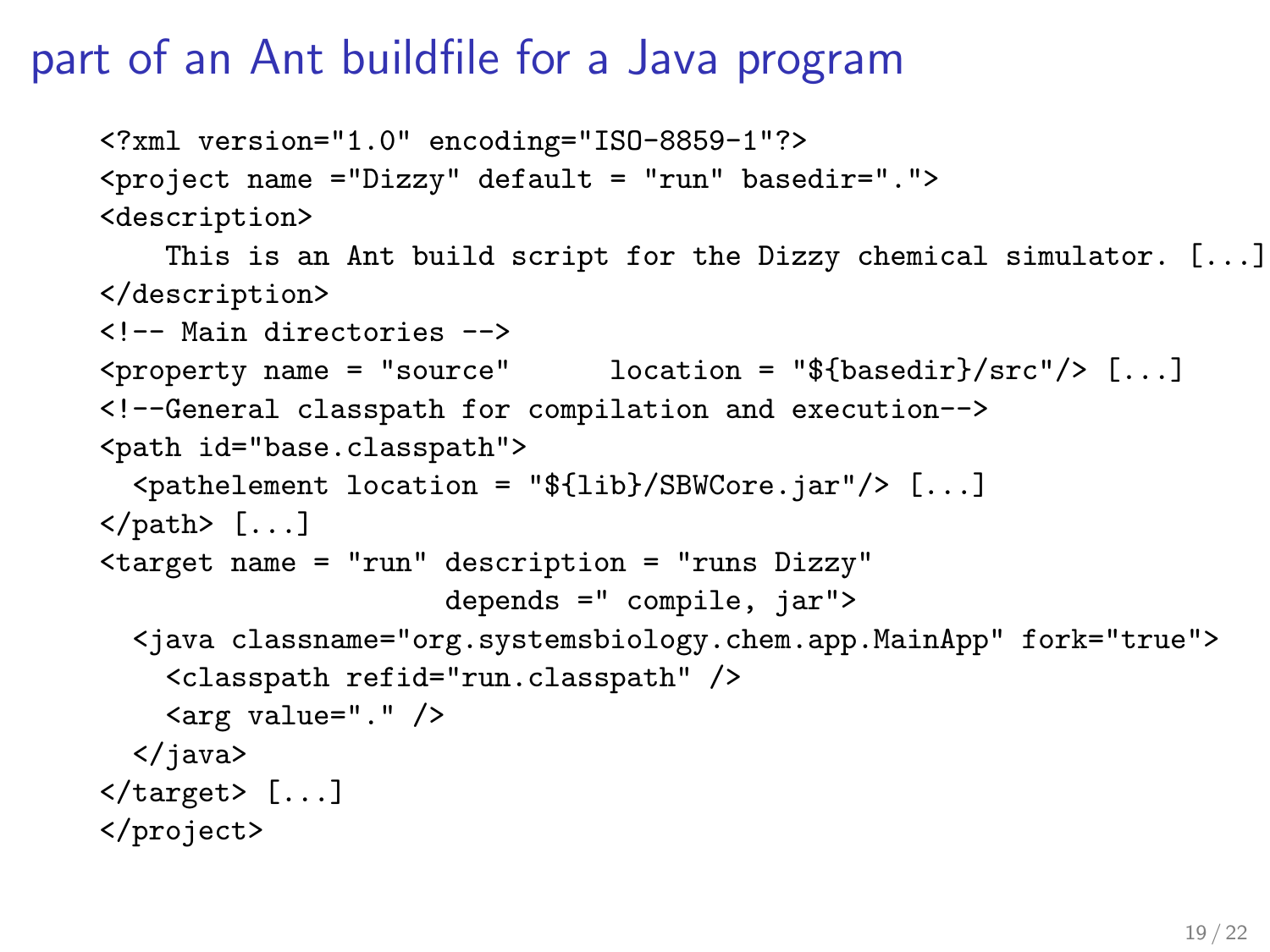#### part of an Ant buildfile for a Java program

```
<?xml version="1.0" encoding="ISO-8859-1"?>
<project name ="Dizzy" default = "run" basedir=".">
<description>
    This is an Ant build script for the Dizzy chemical simulator. [...]
</description>
<!-- Main directories -->
\langleproperty name = "source" location = "${basedir}/src"/> [...]
<!--General classpath for compilation and execution-->
<path id="base.classpath">
  <pathelement location = "${lib}/SBWCore.jar"/> [...]
\langle \text{path} \rangle [...]
<target name = "run" description = "runs Dizzy"
                       depends =" compile, jar">
  <java classname="org.systemsbiology.chem.app.MainApp" fork="true">
    <classpath refid="run.classpath" />
    \langle \text{arg value} = " \cdot " \rangle</java>
\langle \text{target} \rangle [...]
</project>
```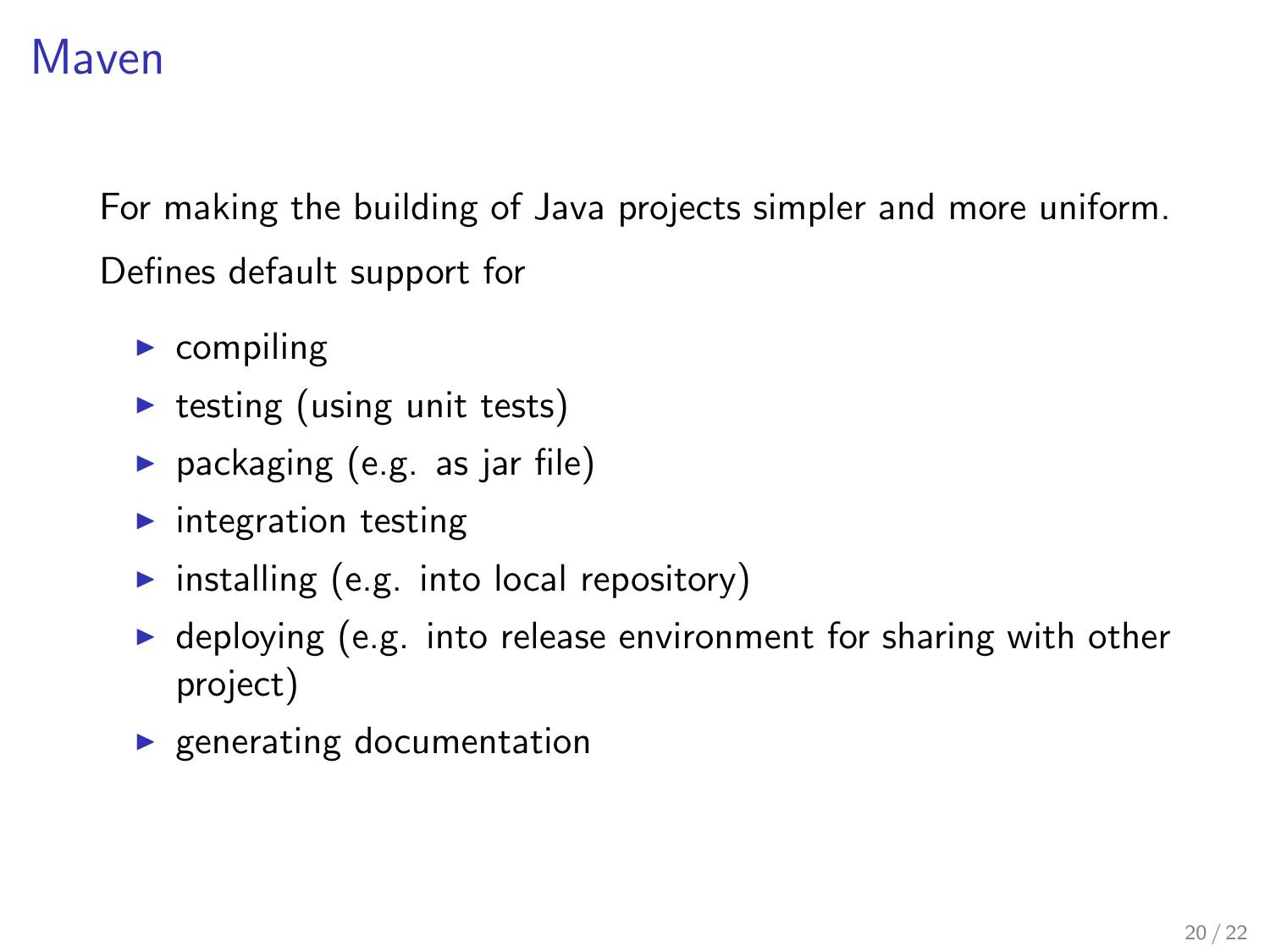# Maven

For making the building of Java projects simpler and more uniform. Defines default support for

- $\triangleright$  compiling
- $\triangleright$  testing (using unit tests)
- $\blacktriangleright$  packaging (e.g. as jar file)
- $\blacktriangleright$  integration testing
- $\triangleright$  installing (e.g. into local repository)
- $\triangleright$  deploying (e.g. into release environment for sharing with other project)
- $\blacktriangleright$  generating documentation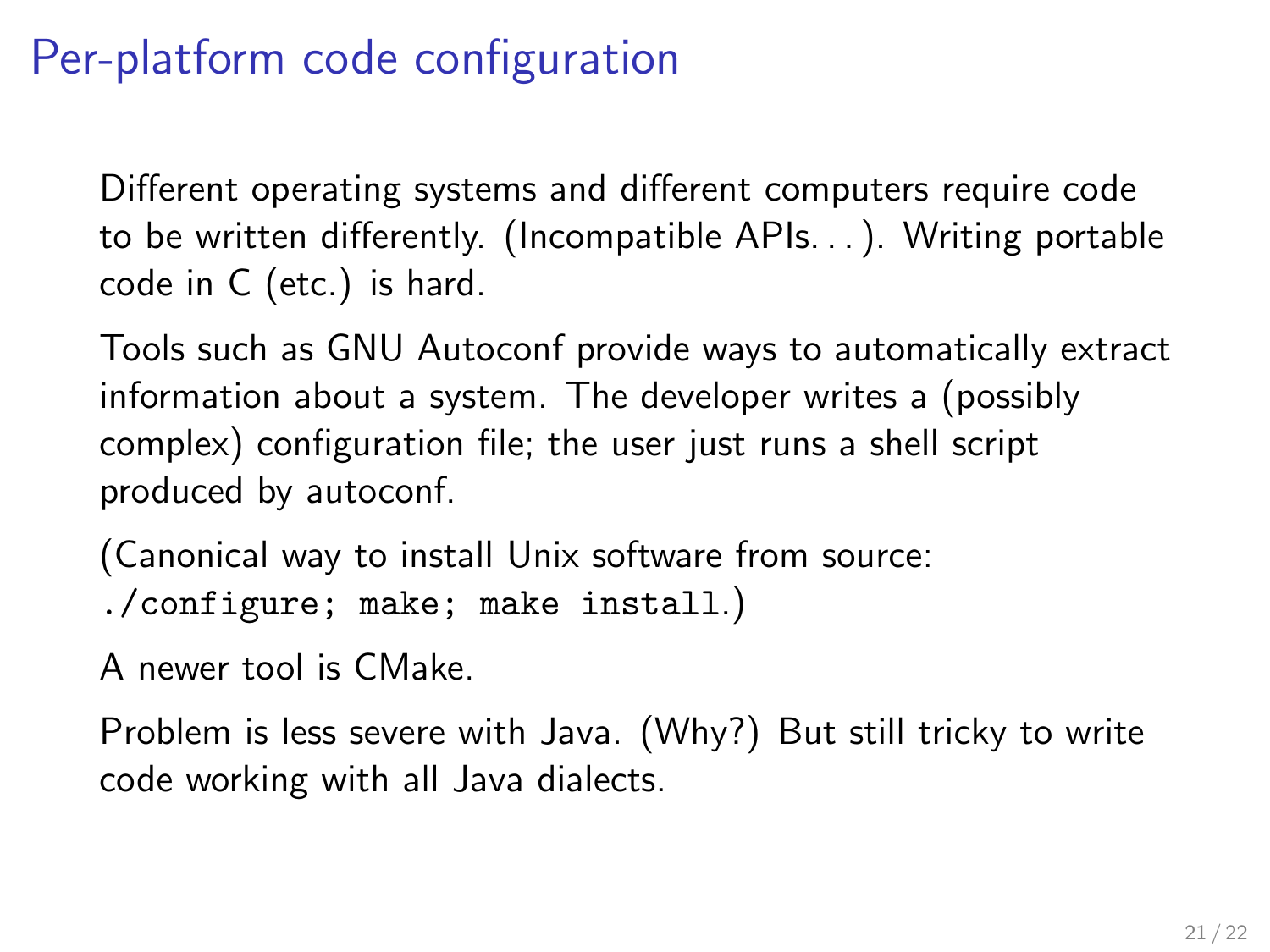# Per-platform code configuration

Different operating systems and different computers require code to be written differently. (Incompatible APIs. . . ). Writing portable code in C (etc.) is hard.

Tools such as GNU Autoconf provide ways to automatically extract information about a system. The developer writes a (possibly complex) configuration file; the user just runs a shell script produced by autoconf.

(Canonical way to install Unix software from source: ./configure; make; make install.)

A newer tool is CMake.

Problem is less severe with Java. (Why?) But still tricky to write code working with all Java dialects.